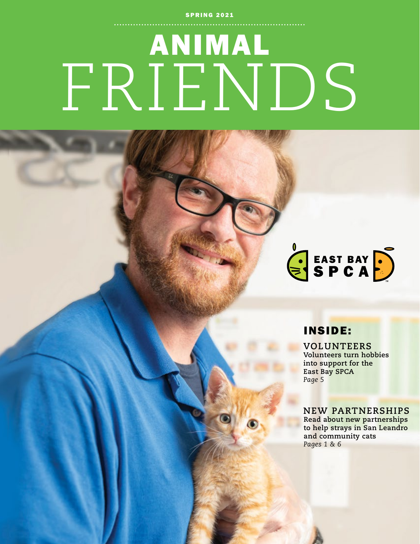#### **SPRING 2021**

# ANIMAL FRIENDS



### INSIDE:

**VOLUNTEERS Volunteers turn hobbies into support for the East Bay SPCA** *Page 5*

#### **NEW PARTNERSHIPS**

**Read about new partnerships to help strays in San Leandro and community cats** *Pages 1 & 6*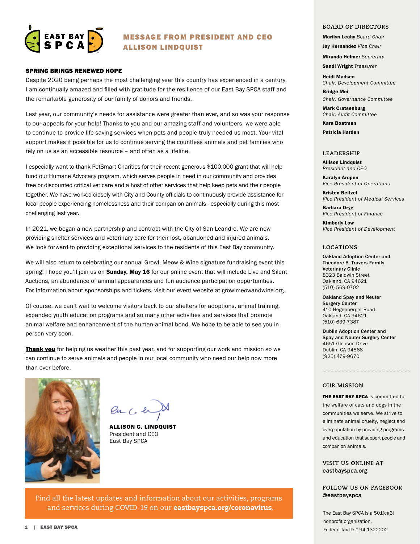

#### MESSAGE FROM PRESIDENT AND CEO ALLISON LINDQUIST

#### SPRING BRINGS RENEWED HOPE

Despite 2020 being perhaps the most challenging year this country has experienced in a century, I am continually amazed and filled with gratitude for the resilience of our East Bay SPCA staff and the remarkable generosity of our family of donors and friends.

Last year, our community's needs for assistance were greater than ever, and so was your response to our appeals for your help! Thanks to you and our amazing staff and volunteers, we were able to continue to provide life-saving services when pets and people truly needed us most. Your vital support makes it possible for us to continue serving the countless animals and pet families who rely on us as an accessible resource – and often as a lifeline.

I especially want to thank PetSmart Charities for their recent generous \$100,000 grant that will help fund our Humane Advocacy program, which serves people in need in our community and provides free or discounted critical vet care and a host of other services that help keep pets and their people together. We have worked closely with City and County officials to continuously provide assistance for local people experiencing homelessness and their companion animals - especially during this most challenging last year.

In 2021, we began a new partnership and contract with the City of San Leandro. We are now providing shelter services and veterinary care for their lost, abandoned and injured animals. We look forward to providing exceptional services to the residents of this East Bay community.

We will also return to celebrating our annual Growl, Meow & Wine signature fundraising event this spring! I hope you'll join us on **Sunday, May 16** for our online event that will include Live and Silent Auctions, an abundance of animal appearances and fun audience participation opportunities. For information about sponsorships and tickets, visit our event website at growlmeowandwine.org.

Of course, we can't wait to welcome visitors back to our shelters for adoptions, animal training, expanded youth education programs and so many other activities and services that promote animal welfare and enhancement of the human-animal bond. We hope to be able to see you in person very soon.

**Thank you** for helping us weather this past year, and for supporting our work and mission so we can continue to serve animals and people in our local community who need our help now more than ever before.



 $QnC$  er

ALLISON C. LINDQUIST President and CEO East Bay SPCA

Find all the latest updates and information about our activities, programs and services during COVID-19 on our eastbayspca.org/coronavirus.

#### **BOARD OF DIRECTORS**

Marilyn Leahy *Board Chair* 

Jay Hernandez *Vice Chair*

Miranda Helmer *Secretary*

Sandi Wright *Treasurer*

Heidi Madsen *Chair, Development Committee*

Bridge Mei *Chair, Governance Committee*

Mark Cratsenburg *Chair, Audit Committee*

Kara Boatman Patricia Harden

#### **LEADERSHIP**

Allison Lindquist *President and CEO*

Karalyn Aropen *Vice President of Operations*

Kristen Beitzel *Vice President of Medical Services*

Barbara Dryg *Vice President of Finance*

Kimberly Low *Vice President of Development*

#### **LOCATIONS**

Oakland Adoption Center and Theodore B. Travers Family Veterinary Clinic 8323 Baldwin Street Oakland, CA 94621 (510) 569-0702

Oakland Spay and Neuter Surgery Center 410 Hegenberger Road Oakland, CA 94621 (510) 639-7387

Dublin Adoption Center and Spay and Neuter Surgery Center 4651 Gleason Drive Dublin, CA 94568 (925) 479-9670

#### **OUR MISSION**

THE EAST BAY SPCA is committed to the welfare of cats and dogs in the communities we serve. We strive to eliminate animal cruelty, neglect and overpopulation by providing programs and education that support people and companion animals.

**VISIT US ONLINE AT** eastbayspca.org

**FOLLOW US ON FACEBOOK @**eastbayspca

The East Bay SPCA is a  $501(c)(3)$ nonprofit organization. Federal Tax ID # 94-1322202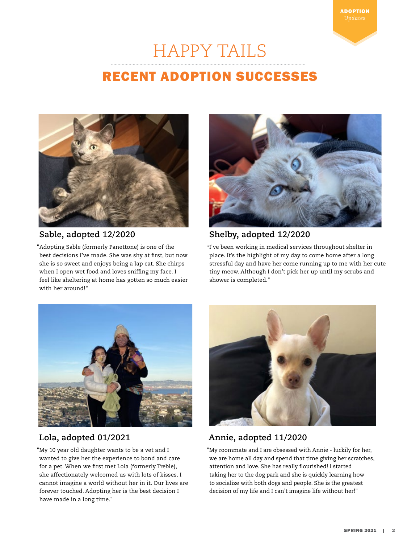## HAPPY TAILS

## RECENT ADOPTION SUCCESSES



#### **Sable, adopted 12/2020**

"Adopting Sable (formerly Panettone) is one of the best decisions I've made. She was shy at first, but now she is so sweet and enjoys being a lap cat. She chirps when I open wet food and loves sniffing my face. I feel like sheltering at home has gotten so much easier with her around!"



ADOPTION

#### **Shelby, adopted 12/2020**

**"**I've been working in medical services throughout shelter in place. It's the highlight of my day to come home after a long stressful day and have her come running up to me with her cute tiny meow. Although I don't pick her up until my scrubs and shower is completed."



#### **Lola, adopted 01/2021**

"My 10 year old daughter wants to be a vet and I wanted to give her the experience to bond and care for a pet. When we first met Lola (formerly Treble), she affectionately welcomed us with lots of kisses. I cannot imagine a world without her in it. Our lives are forever touched. Adopting her is the best decision I have made in a long time."



#### **Annie, adopted 11/2020**

"My roommate and I are obsessed with Annie - luckily for her, we are home all day and spend that time giving her scratches, attention and love. She has really flourished! I started taking her to the dog park and she is quickly learning how to socialize with both dogs and people. She is the greatest decision of my life and I can't imagine life without her!"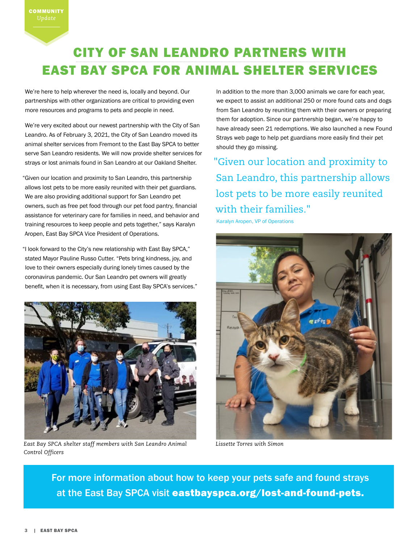## CITY OF SAN LEANDRO PARTNERS WITH EAST BAY SPCA FOR ANIMAL SHELTER SERVICES

We're here to help wherever the need is, locally and beyond. Our partnerships with other organizations are critical to providing even more resources and programs to pets and people in need.

We're very excited about our newest partnership with the City of San Leandro. As of February 3, 2021, the City of San Leandro moved its animal shelter services from Fremont to the East Bay SPCA to better serve San Leandro residents. We will now provide shelter services for strays or lost animals found in San Leandro at our Oakland Shelter.

"Given our location and proximity to San Leandro, this partnership allows lost pets to be more easily reunited with their pet guardians. We are also providing additional support for San Leandro pet owners, such as free pet food through our pet food pantry, financial assistance for veterinary care for families in need, and behavior and training resources to keep people and pets together," says Karalyn Aropen, East Bay SPCA Vice President of Operations.

"I look forward to the City's new relationship with East Bay SPCA," stated Mayor Pauline Russo Cutter. "Pets bring kindness, joy, and love to their owners especially during lonely times caused by the coronavirus pandemic. Our San Leandro pet owners will greatly benefit, when it is necessary, from using East Bay SPCA's services."



*East Bay SPCA shelter staff members with San Leandro Animal Control Officers*

In addition to the more than 3,000 animals we care for each year, we expect to assist an additional 250 or more found cats and dogs from San Leandro by reuniting them with their owners or preparing them for adoption. Since our partnership began, we're happy to have already seen 21 redemptions. We also launched a new Found Strays web page to help pet guardians more easily find their pet should they go missing.

"Given our location and proximity to San Leandro, this partnership allows lost pets to be more easily reunited with their families."

Karalyn Aropen, VP of Operations



*Lissette Torres with Simon*

For more information about how to keep your pets safe and found strays at the East Bay SPCA visit eastbayspca.org/lost-and-found-pets.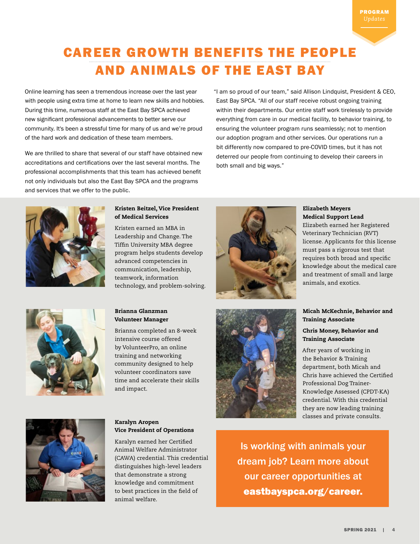## CAREER GROWTH BENEFITS THE PEOPLE AND ANIMALS OF THE EAST BAY

Online learning has seen a tremendous increase over the last year with people using extra time at home to learn new skills and hobbies. During this time, numerous staff at the East Bay SPCA achieved new significant professional advancements to better serve our community. It's been a stressful time for many of us and we're proud of the hard work and dedication of these team members.

We are thrilled to share that several of our staff have obtained new accreditations and certifications over the last several months. The professional accomplishments that this team has achieved benefit not only individuals but also the East Bay SPCA and the programs and services that we offer to the public.

"I am so proud of our team," said Allison Lindquist, President & CEO, East Bay SPCA. "All of our staff receive robust ongoing training within their departments. Our entire staff work tirelessly to provide everything from care in our medical facility, to behavior training, to ensuring the volunteer program runs seamlessly; not to mention our adoption program and other services. Our operations run a bit differently now compared to pre-COVID times, but it has not deterred our people from continuing to develop their careers in both small and big ways."



#### Kristen Beitzel, Vice President of Medical Services

Kristen earned an MBA in Leadership and Change. The Tiffin University MBA degree program helps students develop advanced competencies in communication, leadership, teamwork, information technology, and problem-solving.

Brianna Glanzman Volunteer Manager

and impact.

Brianna completed an 8-week intensive course offered by VolunteerPro, an online training and networking community designed to help volunteer coordinators save time and accelerate their skills





#### Elizabeth Meyers Medical Support Lead

Elizabeth earned her Registered Veterinary Technician (RVT) license. Applicants for this license must pass a rigorous test that requires both broad and specific knowledge about the medical care and treatment of small and large animals, and exotics.

#### Micah McKechnie, Behavior and Training Associate

#### Chris Money, Behavior and Training Associate

After years of working in the Behavior & Training department, both Micah and Chris have achieved the Certified Professional Dog Trainer-Knowledge Assessed (CPDT-KA) credential. With this credential they are now leading training classes and private consults.



#### Karalyn Aropen Vice President of Operations

Karalyn earned her Certified Animal Welfare Administrator (CAWA) credential. This credential distinguishes high-level leaders that demonstrate a strong knowledge and commitment to best practices in the field of animal welfare.

Is working with animals your dream job? Learn more about our career opportunities at eastbayspca.org/career.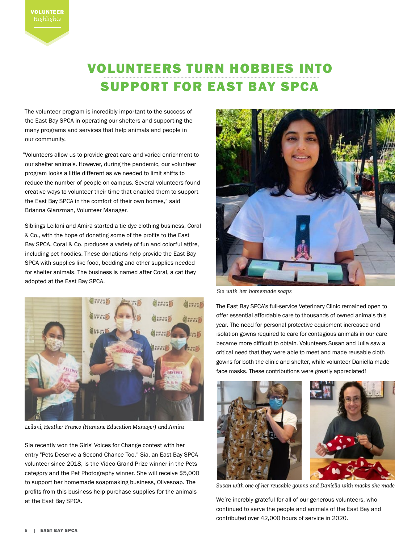## VOLUNTEERS TURN HOBBIES INTO SUPPORT FOR EAST BAY SPCA

The volunteer program is incredibly important to the success of the East Bay SPCA in operating our shelters and supporting the many programs and services that help animals and people in our community.

"Volunteers allow us to provide great care and varied enrichment to our shelter animals. However, during the pandemic, our volunteer program looks a little different as we needed to limit shifts to reduce the number of people on campus. Several volunteers found creative ways to volunteer their time that enabled them to support the East Bay SPCA in the comfort of their own homes," said Brianna Glanzman, Volunteer Manager.

Siblings Leilani and Amira started a tie dye clothing business, Coral & Co., with the hope of donating some of the profits to the East Bay SPCA. Coral & Co. produces a variety of fun and colorful attire, including pet hoodies. These donations help provide the East Bay SPCA with supplies like food, bedding and other supplies needed for shelter animals. The business is named after Coral, a cat they adopted at the East Bay SPCA.



*Leilani, Heather Franco (Humane Education Manager) and Amira*

Sia recently won the Girls' Voices for Change contest with her entry "Pets Deserve a Second Chance Too." Sia, an East Bay SPCA volunteer since 2018, is the Video Grand Prize winner in the Pets category and the Pet Photography winner. She will receive \$5,000 to support her homemade soapmaking business, Olivesoap. The profits from this business help purchase supplies for the animals at the East Bay SPCA.



*Sia with her homemade soaps*

The East Bay SPCA's full-service Veterinary Clinic remained open to offer essential affordable care to thousands of owned animals this year. The need for personal protective equipment increased and isolation gowns required to care for contagious animals in our care became more difficult to obtain. Volunteers Susan and Julia saw a critical need that they were able to meet and made reusable cloth gowns for both the clinic and shelter, while volunteer Daniella made face masks. These contributions were greatly appreciated!



*Susan with one of her reusable gowns and Daniella with masks she made*

We're increbly grateful for all of our generous volunteers, who continued to serve the people and animals of the East Bay and contributed over 42,000 hours of service in 2020.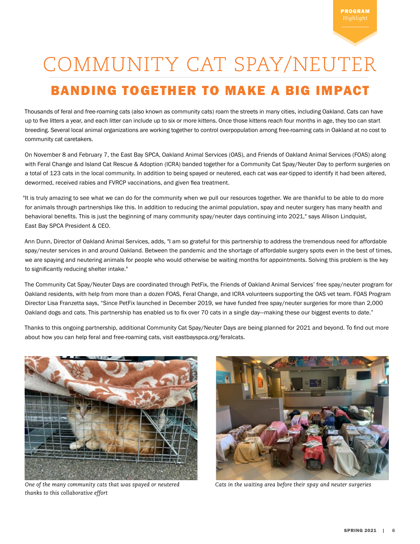## COMMUNITY CAT SPAY/NEUTER

## BANDING TOGETHER TO MAKE A BIG IMPACT

Thousands of feral and free-roaming cats (also known as community cats) roam the streets in many cities, including Oakland. Cats can have up to five litters a year, and each litter can include up to six or more kittens. Once those kittens reach four months in age, they too can start breeding. Several local animal organizations are working together to control overpopulation among free-roaming cats in Oakland at no cost to community cat caretakers.

On November 8 and February 7, the East Bay SPCA, Oakland Animal Services (OAS), and Friends of Oakland Animal Services (FOAS) along with Feral Change and Island Cat Rescue & Adoption (ICRA) banded together for a Community Cat Spay/Neuter Day to perform surgeries on a total of 123 cats in the local community. In addition to being spayed or neutered, each cat was ear-tipped to identify it had been altered, dewormed, received rabies and FVRCP vaccinations, and given flea treatment.

"It is truly amazing to see what we can do for the community when we pull our resources together. We are thankful to be able to do more for animals through partnerships like this. In addition to reducing the animal population, spay and neuter surgery has many health and behavioral benefits. This is just the beginning of many community spay/neuter days continuing into 2021," says Allison Lindquist, East Bay SPCA President & CEO.

Ann Dunn, Director of Oakland Animal Services, adds, "I am so grateful for this partnership to address the tremendous need for affordable spay/neuter services in and around Oakland. Between the pandemic and the shortage of affordable surgery spots even in the best of times, we are spaying and neutering animals for people who would otherwise be waiting months for appointments. Solving this problem is the key to significantly reducing shelter intake."

The Community Cat Spay/Neuter Days are coordinated through PetFix, the Friends of Oakland Animal Services' free spay/neuter program for Oakland residents, with help from more than a dozen FOAS, Feral Change, and ICRA volunteers supporting the OAS vet team. FOAS Program Director Lisa Franzetta says, "Since PetFix launched in December 2019, we have funded free spay/neuter surgeries for more than 2,000 Oakland dogs and cats. This partnership has enabled us to fix over 70 cats in a single day—making these our biggest events to date."

Thanks to this ongoing partnership, additional Community Cat Spay/Neuter Days are being planned for 2021 and beyond. To find out more about how you can help feral and free-roaming cats, visit eastbayspca.org/feralcats.



*One of the many community cats that was spayed or neutered thanks to this collaborative effort*



*Cats in the waiting area before their spay and neuter surgeries*